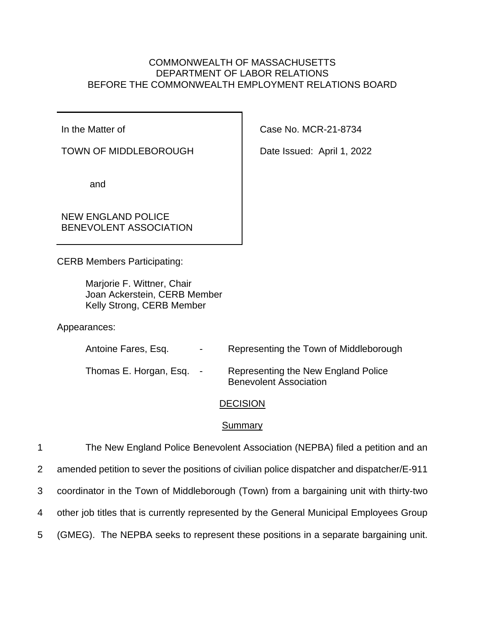# COMMONWEALTH OF MASSACHUSETTS DEPARTMENT OF LABOR RELATIONS BEFORE THE COMMONWEALTH EMPLOYMENT RELATIONS BOARD

In the Matter of

TOWN OF MIDDLEBOROUGH

and

NEW ENGLAND POLICE BENEVOLENT ASSOCIATION

CERB Members Participating:

Marjorie F. Wittner, Chair Joan Ackerstein, CERB Member Kelly Strong, CERB Member

Appearances:

| Antoine Fares, Esq.    | $\sim$ | Representing the Town of Middleborough                               |
|------------------------|--------|----------------------------------------------------------------------|
| Thomas E. Horgan, Esq. | $\sim$ | Representing the New England Police<br><b>Benevolent Association</b> |

# **DECISION**

# **Summary**

 The New England Police Benevolent Association (NEPBA) filed a petition and an amended petition to sever the positions of civilian police dispatcher and dispatcher/E-911 coordinator in the Town of Middleborough (Town) from a bargaining unit with thirty-two other job titles that is currently represented by the General Municipal Employees Group (GMEG). The NEPBA seeks to represent these positions in a separate bargaining unit.

Case No. MCR-21-8734

Date Issued: April 1, 2022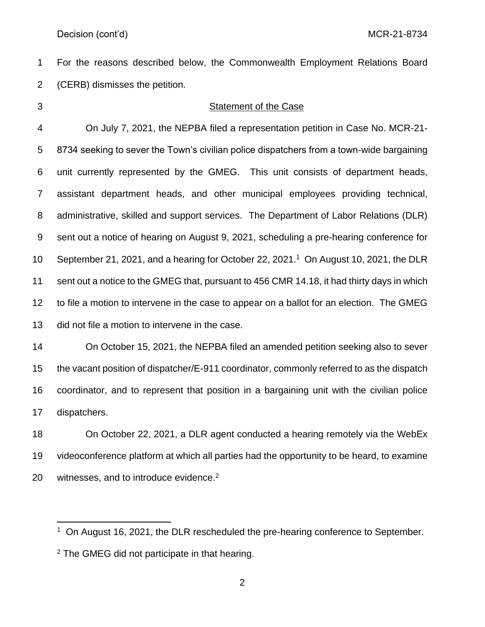For the reasons described below, the Commonwealth Employment Relations Board (CERB) dismisses the petition.

## Statement of the Case

 On July 7, 2021, the NEPBA filed a representation petition in Case No. MCR-21- 8734 seeking to sever the Town's civilian police dispatchers from a town-wide bargaining unit currently represented by the GMEG. This unit consists of department heads, assistant department heads, and other municipal employees providing technical, administrative, skilled and support services. The Department of Labor Relations (DLR) sent out a notice of hearing on August 9, 2021, scheduling a pre-hearing conference for 10 September 21, 2021, and a hearing for October 22, 2021.<sup>1</sup> On August 10, 2021, the DLR sent out a notice to the GMEG that, pursuant to 456 CMR 14.18, it had thirty days in which to file a motion to intervene in the case to appear on a ballot for an election. The GMEG did not file a motion to intervene in the case.

 On October 15, 2021, the NEPBA filed an amended petition seeking also to sever the vacant position of dispatcher/E-911 coordinator, commonly referred to as the dispatch coordinator, and to represent that position in a bargaining unit with the civilian police dispatchers.

 On October 22, 2021, a DLR agent conducted a hearing remotely via the WebEx videoconference platform at which all parties had the opportunity to be heard, to examine 20 witnesses, and to introduce evidence.<sup>2</sup>

<sup>&</sup>lt;sup>1</sup> On August 16, 2021, the DLR rescheduled the pre-hearing conference to September.

<sup>&</sup>lt;sup>2</sup> The GMEG did not participate in that hearing.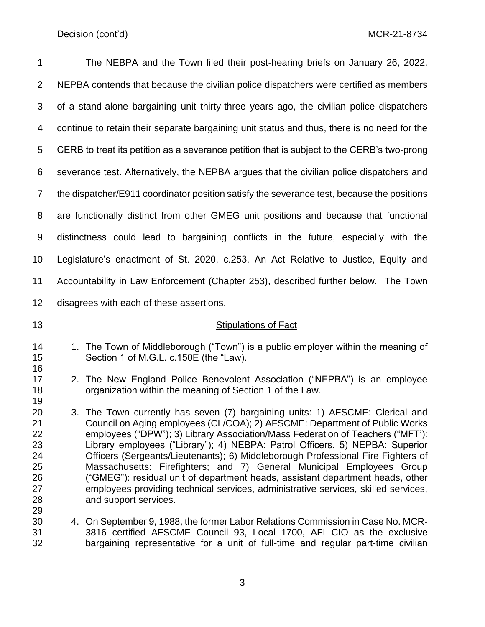| 1                                                        | The NEBPA and the Town filed their post-hearing briefs on January 26, 2022.                                                                                                                                                                                                                                                                                                                                                                                                                                                                                                                                                                                                                 |
|----------------------------------------------------------|---------------------------------------------------------------------------------------------------------------------------------------------------------------------------------------------------------------------------------------------------------------------------------------------------------------------------------------------------------------------------------------------------------------------------------------------------------------------------------------------------------------------------------------------------------------------------------------------------------------------------------------------------------------------------------------------|
| $\overline{2}$                                           | NEPBA contends that because the civilian police dispatchers were certified as members                                                                                                                                                                                                                                                                                                                                                                                                                                                                                                                                                                                                       |
| 3                                                        | of a stand-alone bargaining unit thirty-three years ago, the civilian police dispatchers                                                                                                                                                                                                                                                                                                                                                                                                                                                                                                                                                                                                    |
| 4                                                        | continue to retain their separate bargaining unit status and thus, there is no need for the                                                                                                                                                                                                                                                                                                                                                                                                                                                                                                                                                                                                 |
| 5                                                        | CERB to treat its petition as a severance petition that is subject to the CERB's two-prong                                                                                                                                                                                                                                                                                                                                                                                                                                                                                                                                                                                                  |
| 6                                                        | severance test. Alternatively, the NEPBA argues that the civilian police dispatchers and                                                                                                                                                                                                                                                                                                                                                                                                                                                                                                                                                                                                    |
| $\overline{7}$                                           | the dispatcher/E911 coordinator position satisfy the severance test, because the positions                                                                                                                                                                                                                                                                                                                                                                                                                                                                                                                                                                                                  |
| 8                                                        | are functionally distinct from other GMEG unit positions and because that functional                                                                                                                                                                                                                                                                                                                                                                                                                                                                                                                                                                                                        |
| 9                                                        | distinctness could lead to bargaining conflicts in the future, especially with the                                                                                                                                                                                                                                                                                                                                                                                                                                                                                                                                                                                                          |
| 10                                                       | Legislature's enactment of St. 2020, c.253, An Act Relative to Justice, Equity and                                                                                                                                                                                                                                                                                                                                                                                                                                                                                                                                                                                                          |
| 11                                                       | Accountability in Law Enforcement (Chapter 253), described further below. The Town                                                                                                                                                                                                                                                                                                                                                                                                                                                                                                                                                                                                          |
| 12                                                       | disagrees with each of these assertions.                                                                                                                                                                                                                                                                                                                                                                                                                                                                                                                                                                                                                                                    |
| 13                                                       | <b>Stipulations of Fact</b>                                                                                                                                                                                                                                                                                                                                                                                                                                                                                                                                                                                                                                                                 |
| 14<br>15<br>16                                           | 1. The Town of Middleborough ("Town") is a public employer within the meaning of<br>Section 1 of M.G.L. c.150E (the "Law).                                                                                                                                                                                                                                                                                                                                                                                                                                                                                                                                                                  |
| 17<br>18<br>19                                           | 2. The New England Police Benevolent Association ("NEPBA") is an employee<br>organization within the meaning of Section 1 of the Law.                                                                                                                                                                                                                                                                                                                                                                                                                                                                                                                                                       |
| 20<br>21<br>22<br>23<br>24<br>25<br>26<br>27<br>28<br>29 | 3. The Town currently has seven (7) bargaining units: 1) AFSCME: Clerical and<br>Council on Aging employees (CL/COA); 2) AFSCME: Department of Public Works<br>employees ("DPW"); 3) Library Association/Mass Federation of Teachers ("MFT'):<br>Library employees ("Library"); 4) NEBPA: Patrol Officers. 5) NEPBA: Superior<br>Officers (Sergeants/Lieutenants); 6) Middleborough Professional Fire Fighters of<br>Massachusetts: Firefighters; and 7) General Municipal Employees Group<br>("GMEG"): residual unit of department heads, assistant department heads, other<br>employees providing technical services, administrative services, skilled services,<br>and support services. |
| 30<br>31<br>32                                           | 4. On September 9, 1988, the former Labor Relations Commission in Case No. MCR-<br>3816 certified AFSCME Council 93, Local 1700, AFL-CIO as the exclusive<br>bargaining representative for a unit of full-time and regular part-time civilian                                                                                                                                                                                                                                                                                                                                                                                                                                               |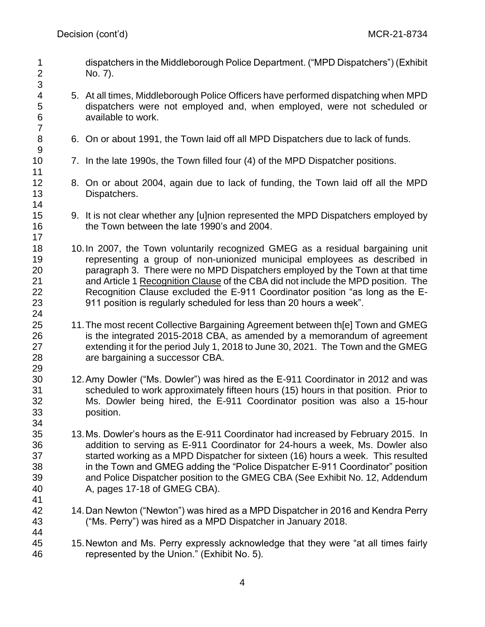- dispatchers in the Middleborough Police Department. ("MPD Dispatchers") (Exhibit No. 7).
- 5. At all times, Middleborough Police Officers have performed dispatching when MPD dispatchers were not employed and, when employed, were not scheduled or available to work.
- 6. On or about 1991, the Town laid off all MPD Dispatchers due to lack of funds.
- 7. In the late 1990s, the Town filled four (4) of the MPD Dispatcher positions.
- 8. On or about 2004, again due to lack of funding, the Town laid off all the MPD Dispatchers.
- 9. It is not clear whether any [u]nion represented the MPD Dispatchers employed by the Town between the late 1990's and 2004.
- 10.In 2007, the Town voluntarily recognized GMEG as a residual bargaining unit representing a group of non-unionized municipal employees as described in paragraph 3. There were no MPD Dispatchers employed by the Town at that time and Article 1 Recognition Clause of the CBA did not include the MPD position. The Recognition Clause excluded the E-911 Coordinator position "as long as the E-911 position is regularly scheduled for less than 20 hours a week".
- 11.The most recent Collective Bargaining Agreement between th[e] Town and GMEG is the integrated 2015-2018 CBA, as amended by a memorandum of agreement extending it for the period July 1, 2018 to June 30, 2021. The Town and the GMEG are bargaining a successor CBA.
- 12.Amy Dowler ("Ms. Dowler") was hired as the E-911 Coordinator in 2012 and was scheduled to work approximately fifteen hours (15) hours in that position. Prior to Ms. Dowler being hired, the E-911 Coordinator position was also a 15-hour position.
- 13.Ms. Dowler's hours as the E-911 Coordinator had increased by February 2015. In addition to serving as E-911 Coordinator for 24-hours a week, Ms. Dowler also started working as a MPD Dispatcher for sixteen (16) hours a week. This resulted in the Town and GMEG adding the "Police Dispatcher E-911 Coordinator" position and Police Dispatcher position to the GMEG CBA (See Exhibit No. 12, Addendum A, pages 17-18 of GMEG CBA).
- 14.Dan Newton ("Newton") was hired as a MPD Dispatcher in 2016 and Kendra Perry ("Ms. Perry") was hired as a MPD Dispatcher in January 2018.
- 15.Newton and Ms. Perry expressly acknowledge that they were "at all times fairly represented by the Union." (Exhibit No. 5).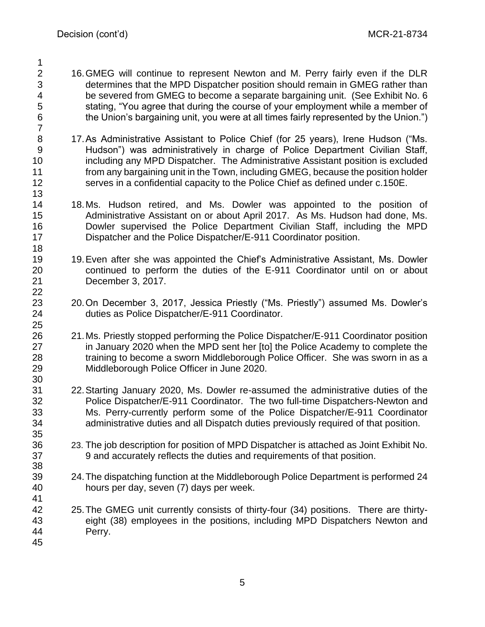- 16.GMEG will continue to represent Newton and M. Perry fairly even if the DLR determines that the MPD Dispatcher position should remain in GMEG rather than be severed from GMEG to become a separate bargaining unit. (See Exhibit No. 6 stating, "You agree that during the course of your employment while a member of the Union's bargaining unit, you were at all times fairly represented by the Union.")
- 17.As Administrative Assistant to Police Chief (for 25 years), Irene Hudson ("Ms. Hudson") was administratively in charge of Police Department Civilian Staff, including any MPD Dispatcher. The Administrative Assistant position is excluded from any bargaining unit in the Town, including GMEG, because the position holder serves in a confidential capacity to the Police Chief as defined under c.150E.
- 18.Ms. Hudson retired, and Ms. Dowler was appointed to the position of Administrative Assistant on or about April 2017. As Ms. Hudson had done, Ms. Dowler supervised the Police Department Civilian Staff, including the MPD Dispatcher and the Police Dispatcher/E-911 Coordinator position.
- 19.Even after she was appointed the Chief's Administrative Assistant, Ms. Dowler continued to perform the duties of the E-911 Coordinator until on or about December 3, 2017.
- 20.On December 3, 2017, Jessica Priestly ("Ms. Priestly") assumed Ms. Dowler's duties as Police Dispatcher/E-911 Coordinator.
- 21.Ms. Priestly stopped performing the Police Dispatcher/E-911 Coordinator position in January 2020 when the MPD sent her [to] the Police Academy to complete the training to become a sworn Middleborough Police Officer. She was sworn in as a Middleborough Police Officer in June 2020.
- 22.Starting January 2020, Ms. Dowler re-assumed the administrative duties of the Police Dispatcher/E-911 Coordinator. The two full-time Dispatchers-Newton and Ms. Perry-currently perform some of the Police Dispatcher/E-911 Coordinator administrative duties and all Dispatch duties previously required of that position.
- 23. The job description for position of MPD Dispatcher is attached as Joint Exhibit No. 9 and accurately reflects the duties and requirements of that position.
- 24.The dispatching function at the Middleborough Police Department is performed 24 hours per day, seven (7) days per week.
- 25.The GMEG unit currently consists of thirty-four (34) positions. There are thirty- eight (38) employees in the positions, including MPD Dispatchers Newton and Perry.
-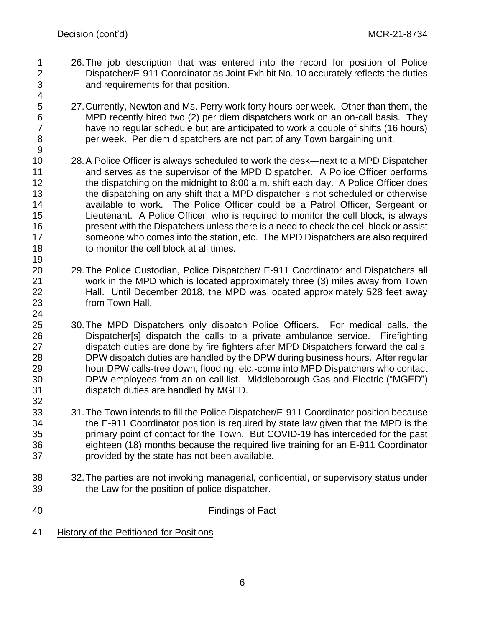- 26.The job description that was entered into the record for position of Police Dispatcher/E-911 Coordinator as Joint Exhibit No. 10 accurately reflects the duties and requirements for that position.
- 27.Currently, Newton and Ms. Perry work forty hours per week. Other than them, the MPD recently hired two (2) per diem dispatchers work on an on-call basis. They have no regular schedule but are anticipated to work a couple of shifts (16 hours) per week. Per diem dispatchers are not part of any Town bargaining unit.
- 28.A Police Officer is always scheduled to work the desk—next to a MPD Dispatcher and serves as the supervisor of the MPD Dispatcher. A Police Officer performs 12 the dispatching on the midnight to 8:00 a.m. shift each day. A Police Officer does the dispatching on any shift that a MPD dispatcher is not scheduled or otherwise available to work. The Police Officer could be a Patrol Officer, Sergeant or Lieutenant. A Police Officer, who is required to monitor the cell block, is always present with the Dispatchers unless there is a need to check the cell block or assist someone who comes into the station, etc. The MPD Dispatchers are also required to monitor the cell block at all times.
- 29.The Police Custodian, Police Dispatcher/ E-911 Coordinator and Dispatchers all work in the MPD which is located approximately three (3) miles away from Town Hall. Until December 2018, the MPD was located approximately 528 feet away from Town Hall.
- 30.The MPD Dispatchers only dispatch Police Officers. For medical calls, the Dispatcher[s] dispatch the calls to a private ambulance service. Firefighting dispatch duties are done by fire fighters after MPD Dispatchers forward the calls. DPW dispatch duties are handled by the DPW during business hours. After regular hour DPW calls-tree down, flooding, etc.-come into MPD Dispatchers who contact DPW employees from an on-call list. Middleborough Gas and Electric ("MGED") dispatch duties are handled by MGED.
- 31.The Town intends to fill the Police Dispatcher/E-911 Coordinator position because the E-911 Coordinator position is required by state law given that the MPD is the primary point of contact for the Town. But COVID-19 has interceded for the past eighteen (18) months because the required live training for an E-911 Coordinator provided by the state has not been available.
- 32.The parties are not invoking managerial, confidential, or supervisory status under the Law for the position of police dispatcher.
- Findings of Fact
- History of the Petitioned-for Positions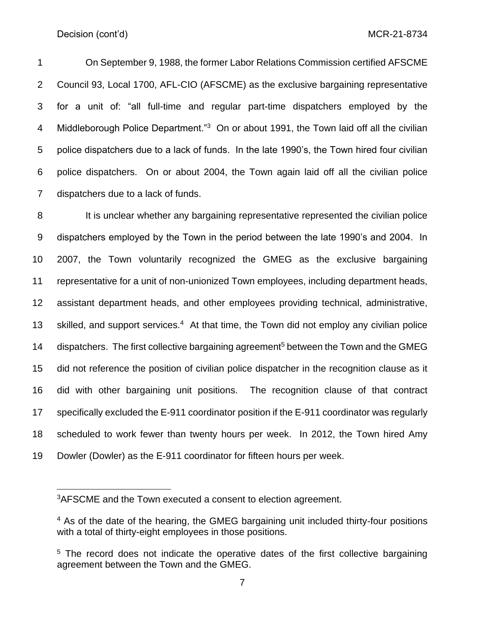On September 9, 1988, the former Labor Relations Commission certified AFSCME Council 93, Local 1700, AFL-CIO (AFSCME) as the exclusive bargaining representative for a unit of: "all full-time and regular part-time dispatchers employed by the 4 Middleborough Police Department."<sup>3</sup> On or about 1991, the Town laid off all the civilian police dispatchers due to a lack of funds. In the late 1990's, the Town hired four civilian police dispatchers. On or about 2004, the Town again laid off all the civilian police dispatchers due to a lack of funds.

8 It is unclear whether any bargaining representative represented the civilian police dispatchers employed by the Town in the period between the late 1990's and 2004. In 2007, the Town voluntarily recognized the GMEG as the exclusive bargaining representative for a unit of non-unionized Town employees, including department heads, assistant department heads, and other employees providing technical, administrative, 13 skilled, and support services.<sup>4</sup> At that time, the Town did not employ any civilian police 14 dispatchers. The first collective bargaining agreement<sup>5</sup> between the Town and the GMEG did not reference the position of civilian police dispatcher in the recognition clause as it did with other bargaining unit positions. The recognition clause of that contract specifically excluded the E-911 coordinator position if the E-911 coordinator was regularly scheduled to work fewer than twenty hours per week. In 2012, the Town hired Amy Dowler (Dowler) as the E-911 coordinator for fifteen hours per week.

<sup>&</sup>lt;sup>3</sup>AFSCME and the Town executed a consent to election agreement.

<sup>&</sup>lt;sup>4</sup> As of the date of the hearing, the GMEG bargaining unit included thirty-four positions with a total of thirty-eight employees in those positions.

<sup>&</sup>lt;sup>5</sup> The record does not indicate the operative dates of the first collective bargaining agreement between the Town and the GMEG.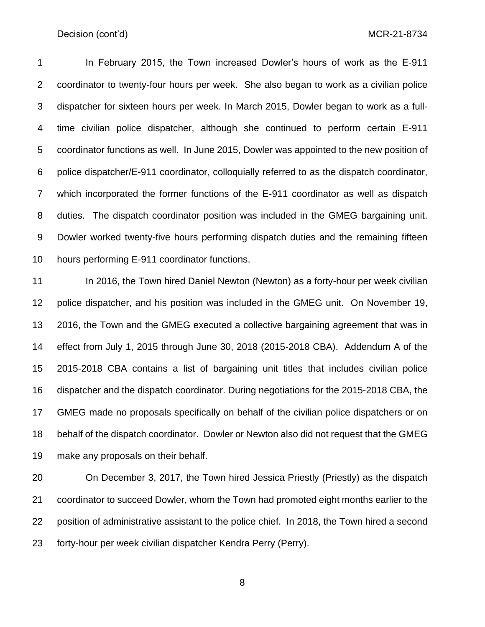In February 2015, the Town increased Dowler's hours of work as the E-911 coordinator to twenty-four hours per week. She also began to work as a civilian police dispatcher for sixteen hours per week. In March 2015, Dowler began to work as a full- time civilian police dispatcher, although she continued to perform certain E-911 coordinator functions as well. In June 2015, Dowler was appointed to the new position of police dispatcher/E-911 coordinator, colloquially referred to as the dispatch coordinator, which incorporated the former functions of the E-911 coordinator as well as dispatch duties. The dispatch coordinator position was included in the GMEG bargaining unit. Dowler worked twenty-five hours performing dispatch duties and the remaining fifteen hours performing E-911 coordinator functions.

11 In 2016, the Town hired Daniel Newton (Newton) as a forty-hour per week civilian police dispatcher, and his position was included in the GMEG unit. On November 19, 2016, the Town and the GMEG executed a collective bargaining agreement that was in effect from July 1, 2015 through June 30, 2018 (2015-2018 CBA). Addendum A of the 2015-2018 CBA contains a list of bargaining unit titles that includes civilian police dispatcher and the dispatch coordinator. During negotiations for the 2015-2018 CBA, the GMEG made no proposals specifically on behalf of the civilian police dispatchers or on behalf of the dispatch coordinator. Dowler or Newton also did not request that the GMEG make any proposals on their behalf.

 On December 3, 2017, the Town hired Jessica Priestly (Priestly) as the dispatch coordinator to succeed Dowler, whom the Town had promoted eight months earlier to the position of administrative assistant to the police chief. In 2018, the Town hired a second forty-hour per week civilian dispatcher Kendra Perry (Perry).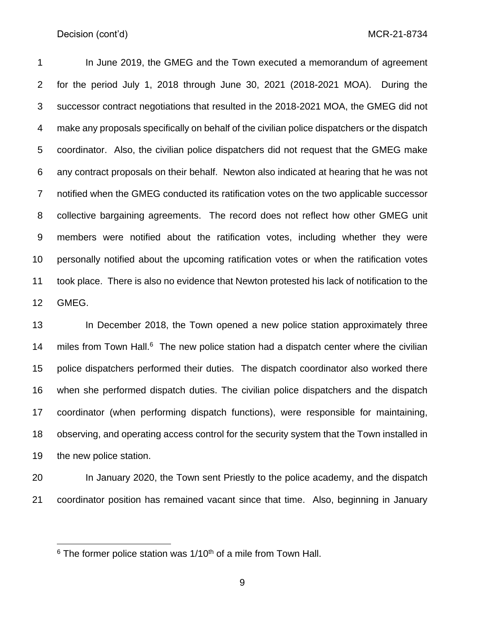In June 2019, the GMEG and the Town executed a memorandum of agreement for the period July 1, 2018 through June 30, 2021 (2018-2021 MOA). During the successor contract negotiations that resulted in the 2018-2021 MOA, the GMEG did not make any proposals specifically on behalf of the civilian police dispatchers or the dispatch coordinator. Also, the civilian police dispatchers did not request that the GMEG make any contract proposals on their behalf. Newton also indicated at hearing that he was not notified when the GMEG conducted its ratification votes on the two applicable successor collective bargaining agreements. The record does not reflect how other GMEG unit members were notified about the ratification votes, including whether they were personally notified about the upcoming ratification votes or when the ratification votes took place. There is also no evidence that Newton protested his lack of notification to the GMEG.

 In December 2018, the Town opened a new police station approximately three 14 miles from Town Hall. The new police station had a dispatch center where the civilian police dispatchers performed their duties. The dispatch coordinator also worked there when she performed dispatch duties. The civilian police dispatchers and the dispatch coordinator (when performing dispatch functions), were responsible for maintaining, observing, and operating access control for the security system that the Town installed in the new police station.

 In January 2020, the Town sent Priestly to the police academy, and the dispatch coordinator position has remained vacant since that time. Also, beginning in January

The former police station was  $1/10<sup>th</sup>$  of a mile from Town Hall.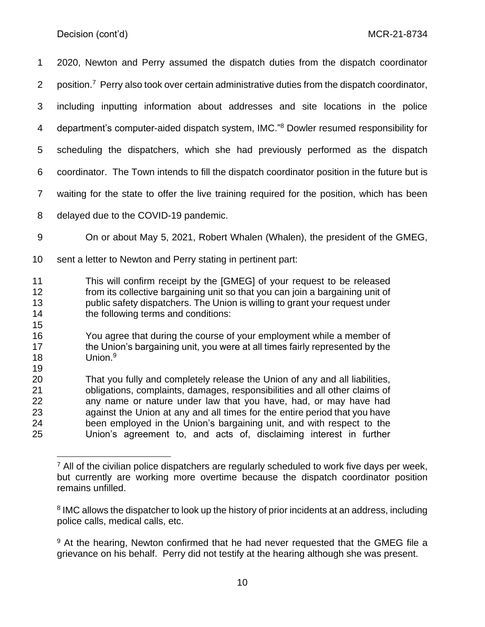2020, Newton and Perry assumed the dispatch duties from the dispatch coordinator 2 position.<sup>7</sup> Perry also took over certain administrative duties from the dispatch coordinator, including inputting information about addresses and site locations in the police 4 department's computer-aided dispatch system, IMC."<sup>8</sup> Dowler resumed responsibility for scheduling the dispatchers, which she had previously performed as the dispatch coordinator. The Town intends to fill the dispatch coordinator position in the future but is waiting for the state to offer the live training required for the position, which has been delayed due to the COVID-19 pandemic. On or about May 5, 2021, Robert Whalen (Whalen), the president of the GMEG, sent a letter to Newton and Perry stating in pertinent part:

- This will confirm receipt by the [GMEG] of your request to be released from its collective bargaining unit so that you can join a bargaining unit of public safety dispatchers. The Union is willing to grant your request under the following terms and conditions:
- You agree that during the course of your employment while a member of 17 the Union's bargaining unit, you were at all times fairly represented by the 18 Union.<sup>9</sup>

 That you fully and completely release the Union of any and all liabilities, obligations, complaints, damages, responsibilities and all other claims of any name or nature under law that you have, had, or may have had against the Union at any and all times for the entire period that you have been employed in the Union's bargaining unit, and with respect to the Union's agreement to, and acts of, disclaiming interest in further

 $<sup>7</sup>$  All of the civilian police dispatchers are regularly scheduled to work five days per week,</sup> but currently are working more overtime because the dispatch coordinator position remains unfilled.

<sup>&</sup>lt;sup>8</sup> IMC allows the dispatcher to look up the history of prior incidents at an address, including police calls, medical calls, etc.

<sup>&</sup>lt;sup>9</sup> At the hearing, Newton confirmed that he had never requested that the GMEG file a grievance on his behalf. Perry did not testify at the hearing although she was present.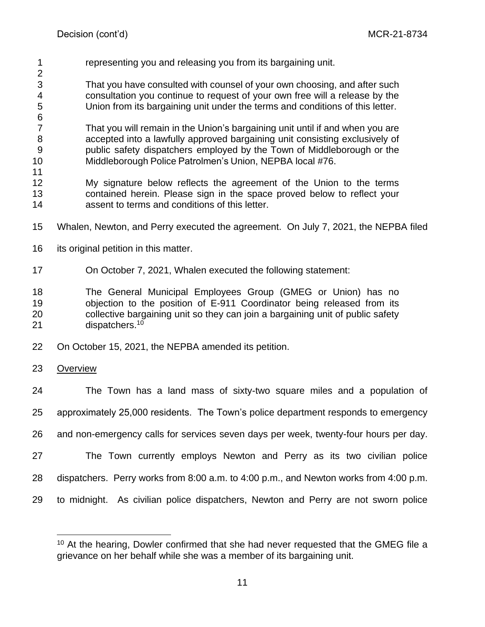representing you and releasing you from its bargaining unit. 

 That you have consulted with counsel of your own choosing, and after such consultation you continue to request of your own free will a release by the Union from its bargaining unit under the terms and conditions of this letter.

 That you will remain in the Union's bargaining unit until if and when you are accepted into a lawfully approved bargaining unit consisting exclusively of public safety dispatchers employed by the Town of Middleborough or the Middleborough Police Patrolmen's Union, NEPBA local #76.

- My signature below reflects the agreement of the Union to the terms contained herein. Please sign in the space proved below to reflect your assent to terms and conditions of this letter.
- Whalen, Newton, and Perry executed the agreement. On July 7, 2021, the NEPBA filed
- 16 its original petition in this matter.
- On October 7, 2021, Whalen executed the following statement:

 The General Municipal Employees Group (GMEG or Union) has no objection to the position of E-911 Coordinator being released from its collective bargaining unit so they can join a bargaining unit of public safety 21 dispatchers.<sup>10</sup>

- On October 15, 2021, the NEPBA amended its petition.
- Overview

 The Town has a land mass of sixty-two square miles and a population of approximately 25,000 residents. The Town's police department responds to emergency and non-emergency calls for services seven days per week, twenty-four hours per day. The Town currently employs Newton and Perry as its two civilian police dispatchers. Perry works from 8:00 a.m. to 4:00 p.m., and Newton works from 4:00 p.m. to midnight. As civilian police dispatchers, Newton and Perry are not sworn police

 At the hearing. Dowler confirmed that she had never requested that the GMEG file a grievance on her behalf while she was a member of its bargaining unit.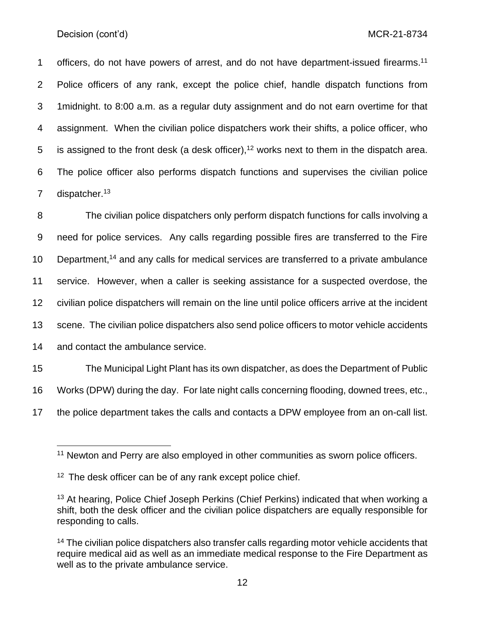1 officers, do not have powers of arrest, and do not have department-issued firearms.<sup>11</sup> 2 Police officers of any rank, except the police chief, handle dispatch functions from 3 1midnight. to 8:00 a.m. as a regular duty assignment and do not earn overtime for that 4 assignment. When the civilian police dispatchers work their shifts, a police officer, who 5 is assigned to the front desk (a desk officer),<sup>12</sup> works next to them in the dispatch area. 6 The police officer also performs dispatch functions and supervises the civilian police 7 dispatcher.<sup>13</sup>

 The civilian police dispatchers only perform dispatch functions for calls involving a need for police services. Any calls regarding possible fires are transferred to the Fire 10 Department,<sup>14</sup> and any calls for medical services are transferred to a private ambulance service. However, when a caller is seeking assistance for a suspected overdose, the civilian police dispatchers will remain on the line until police officers arrive at the incident scene. The civilian police dispatchers also send police officers to motor vehicle accidents 14 and contact the ambulance service.

15 The Municipal Light Plant has its own dispatcher, as does the Department of Public 16 Works (DPW) during the day. For late night calls concerning flooding, downed trees, etc., 17 the police department takes the calls and contacts a DPW employee from an on-call list.

<sup>&</sup>lt;sup>11</sup> Newton and Perry are also employed in other communities as sworn police officers.

<sup>&</sup>lt;sup>12</sup> The desk officer can be of any rank except police chief.

<sup>&</sup>lt;sup>13</sup> At hearing, Police Chief Joseph Perkins (Chief Perkins) indicated that when working a shift, both the desk officer and the civilian police dispatchers are equally responsible for responding to calls.

<sup>&</sup>lt;sup>14</sup> The civilian police dispatchers also transfer calls regarding motor vehicle accidents that require medical aid as well as an immediate medical response to the Fire Department as well as to the private ambulance service.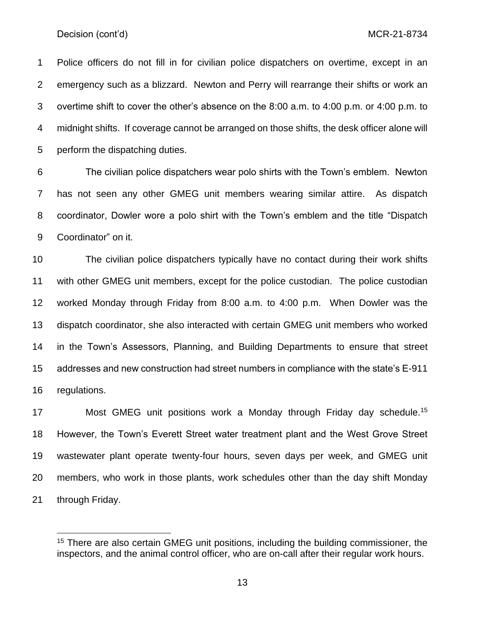Police officers do not fill in for civilian police dispatchers on overtime, except in an emergency such as a blizzard. Newton and Perry will rearrange their shifts or work an overtime shift to cover the other's absence on the 8:00 a.m. to 4:00 p.m. or 4:00 p.m. to midnight shifts. If coverage cannot be arranged on those shifts, the desk officer alone will perform the dispatching duties.

 The civilian police dispatchers wear polo shirts with the Town's emblem. Newton has not seen any other GMEG unit members wearing similar attire. As dispatch coordinator, Dowler wore a polo shirt with the Town's emblem and the title "Dispatch Coordinator" on it.

 The civilian police dispatchers typically have no contact during their work shifts with other GMEG unit members, except for the police custodian. The police custodian worked Monday through Friday from 8:00 a.m. to 4:00 p.m. When Dowler was the dispatch coordinator, she also interacted with certain GMEG unit members who worked in the Town's Assessors, Planning, and Building Departments to ensure that street addresses and new construction had street numbers in compliance with the state's E-911 regulations.

17 Most GMEG unit positions work a Monday through Friday day schedule.<sup>15</sup> However, the Town's Everett Street water treatment plant and the West Grove Street wastewater plant operate twenty-four hours, seven days per week, and GMEG unit members, who work in those plants, work schedules other than the day shift Monday through Friday.

<sup>&</sup>lt;sup>15</sup> There are also certain GMEG unit positions, including the building commissioner, the inspectors, and the animal control officer, who are on-call after their regular work hours.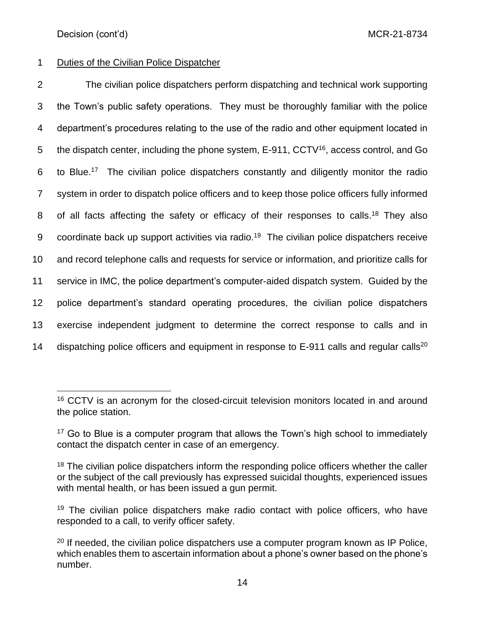# 1 Duties of the Civilian Police Dispatcher

 The civilian police dispatchers perform dispatching and technical work supporting the Town's public safety operations. They must be thoroughly familiar with the police department's procedures relating to the use of the radio and other equipment located in 5 the dispatch center, including the phone system,  $E-911$ ,  $CCTV^{16}$ , access control, and Go 6 to Blue.<sup>17</sup> The civilian police dispatchers constantly and diligently monitor the radio system in order to dispatch police officers and to keep those police officers fully informed 8 of all facts affecting the safety or efficacy of their responses to calls.<sup>18</sup> They also 9 coordinate back up support activities via radio.<sup>19</sup> The civilian police dispatchers receive and record telephone calls and requests for service or information, and prioritize calls for service in IMC, the police department's computer-aided dispatch system. Guided by the police department's standard operating procedures, the civilian police dispatchers exercise independent judgment to determine the correct response to calls and in 14 dispatching police officers and equipment in response to E-911 calls and regular calls<sup>20</sup>

<sup>&</sup>lt;sup>16</sup> CCTV is an acronym for the closed-circuit television monitors located in and around the police station.

 $17$  Go to Blue is a computer program that allows the Town's high school to immediately contact the dispatch center in case of an emergency.

<sup>&</sup>lt;sup>18</sup> The civilian police dispatchers inform the responding police officers whether the caller or the subject of the call previously has expressed suicidal thoughts, experienced issues with mental health, or has been issued a gun permit.

<sup>&</sup>lt;sup>19</sup> The civilian police dispatchers make radio contact with police officers, who have responded to a call, to verify officer safety.

 $20$  If needed, the civilian police dispatchers use a computer program known as IP Police, which enables them to ascertain information about a phone's owner based on the phone's number.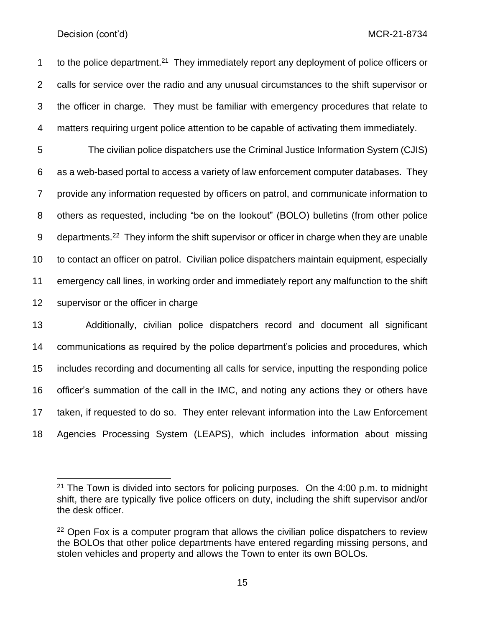to the police department.<sup>21</sup> They immediately report any deployment of police officers or calls for service over the radio and any unusual circumstances to the shift supervisor or the officer in charge. They must be familiar with emergency procedures that relate to matters requiring urgent police attention to be capable of activating them immediately.

 The civilian police dispatchers use the Criminal Justice Information System (CJIS) as a web-based portal to access a variety of law enforcement computer databases. They provide any information requested by officers on patrol, and communicate information to others as requested, including "be on the lookout" (BOLO) bulletins (from other police 9 departments.<sup>22</sup> They inform the shift supervisor or officer in charge when they are unable to contact an officer on patrol. Civilian police dispatchers maintain equipment, especially emergency call lines, in working order and immediately report any malfunction to the shift supervisor or the officer in charge

 Additionally, civilian police dispatchers record and document all significant communications as required by the police department's policies and procedures, which includes recording and documenting all calls for service, inputting the responding police officer's summation of the call in the IMC, and noting any actions they or others have taken, if requested to do so. They enter relevant information into the Law Enforcement Agencies Processing System (LEAPS), which includes information about missing

 The Town is divided into sectors for policing purposes. On the 4:00 p.m. to midnight shift, there are typically five police officers on duty, including the shift supervisor and/or the desk officer.

 Open Fox is a computer program that allows the civilian police dispatchers to review the BOLOs that other police departments have entered regarding missing persons, and stolen vehicles and property and allows the Town to enter its own BOLOs.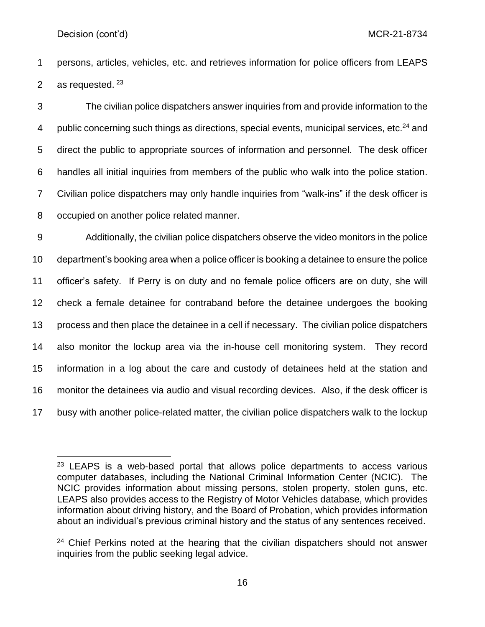persons, articles, vehicles, etc. and retrieves information for police officers from LEAPS 2 as requested.

 The civilian police dispatchers answer inquiries from and provide information to the 4 public concerning such things as directions, special events, municipal services, etc. $^{24}$  and direct the public to appropriate sources of information and personnel. The desk officer handles all initial inquiries from members of the public who walk into the police station. Civilian police dispatchers may only handle inquiries from "walk-ins" if the desk officer is occupied on another police related manner.

 Additionally, the civilian police dispatchers observe the video monitors in the police department's booking area when a police officer is booking a detainee to ensure the police officer's safety. If Perry is on duty and no female police officers are on duty, she will check a female detainee for contraband before the detainee undergoes the booking process and then place the detainee in a cell if necessary. The civilian police dispatchers also monitor the lockup area via the in-house cell monitoring system. They record information in a log about the care and custody of detainees held at the station and monitor the detainees via audio and visual recording devices. Also, if the desk officer is busy with another police-related matter, the civilian police dispatchers walk to the lockup

 LEAPS is a web-based portal that allows police departments to access various computer databases, including the National Criminal Information Center (NCIC). The NCIC provides information about missing persons, stolen property, stolen guns, etc. LEAPS also provides access to the Registry of Motor Vehicles database, which provides information about driving history, and the Board of Probation, which provides information about an individual's previous criminal history and the status of any sentences received.

<sup>&</sup>lt;sup>24</sup> Chief Perkins noted at the hearing that the civilian dispatchers should not answer inquiries from the public seeking legal advice.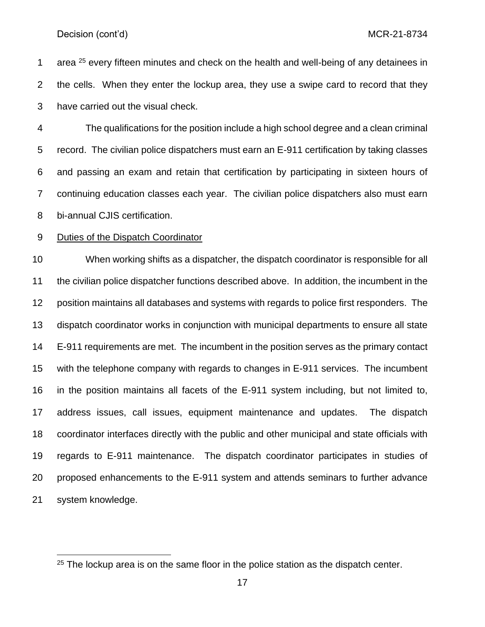1 area every fifteen minutes and check on the health and well-being of any detainees in the cells. When they enter the lockup area, they use a swipe card to record that they have carried out the visual check.

 The qualifications for the position include a high school degree and a clean criminal record. The civilian police dispatchers must earn an E-911 certification by taking classes and passing an exam and retain that certification by participating in sixteen hours of continuing education classes each year. The civilian police dispatchers also must earn bi-annual CJIS certification.

### Duties of the Dispatch Coordinator

 When working shifts as a dispatcher, the dispatch coordinator is responsible for all the civilian police dispatcher functions described above. In addition, the incumbent in the position maintains all databases and systems with regards to police first responders. The dispatch coordinator works in conjunction with municipal departments to ensure all state E-911 requirements are met. The incumbent in the position serves as the primary contact with the telephone company with regards to changes in E-911 services. The incumbent in the position maintains all facets of the E-911 system including, but not limited to, address issues, call issues, equipment maintenance and updates. The dispatch coordinator interfaces directly with the public and other municipal and state officials with regards to E-911 maintenance. The dispatch coordinator participates in studies of proposed enhancements to the E-911 system and attends seminars to further advance system knowledge.

<sup>&</sup>lt;sup>25</sup> The lockup area is on the same floor in the police station as the dispatch center.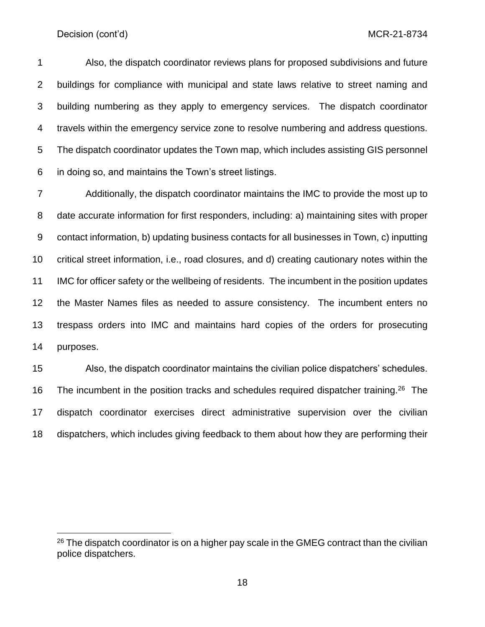Also, the dispatch coordinator reviews plans for proposed subdivisions and future buildings for compliance with municipal and state laws relative to street naming and building numbering as they apply to emergency services. The dispatch coordinator travels within the emergency service zone to resolve numbering and address questions. The dispatch coordinator updates the Town map, which includes assisting GIS personnel in doing so, and maintains the Town's street listings.

 Additionally, the dispatch coordinator maintains the IMC to provide the most up to date accurate information for first responders, including: a) maintaining sites with proper contact information, b) updating business contacts for all businesses in Town, c) inputting critical street information, i.e., road closures, and d) creating cautionary notes within the IMC for officer safety or the wellbeing of residents. The incumbent in the position updates the Master Names files as needed to assure consistency. The incumbent enters no trespass orders into IMC and maintains hard copies of the orders for prosecuting purposes.

 Also, the dispatch coordinator maintains the civilian police dispatchers' schedules. 16 The incumbent in the position tracks and schedules required dispatcher training.<sup>26</sup> The dispatch coordinator exercises direct administrative supervision over the civilian dispatchers, which includes giving feedback to them about how they are performing their

 The dispatch coordinator is on a higher pay scale in the GMEG contract than the civilian police dispatchers.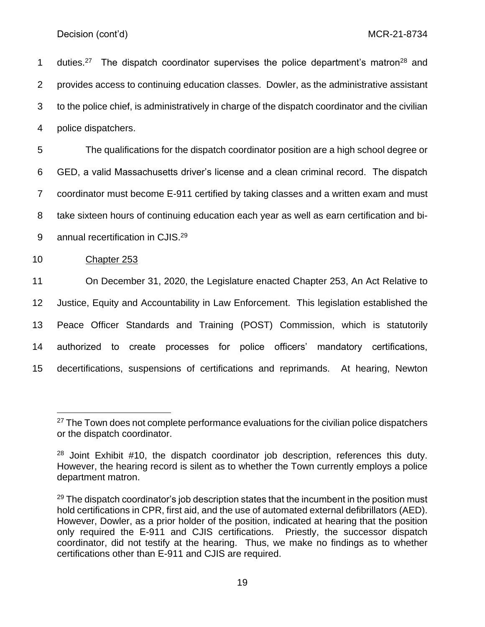1 duties.<sup>27</sup> The dispatch coordinator supervises the police department's matron<sup>28</sup> and provides access to continuing education classes. Dowler, as the administrative assistant to the police chief, is administratively in charge of the dispatch coordinator and the civilian police dispatchers.

 The qualifications for the dispatch coordinator position are a high school degree or GED, a valid Massachusetts driver's license and a clean criminal record. The dispatch coordinator must become E-911 certified by taking classes and a written exam and must take sixteen hours of continuing education each year as well as earn certification and bi-9 annual recertification in CJIS.<sup>29</sup>

Chapter 253

 On December 31, 2020, the Legislature enacted Chapter 253, An Act Relative to Justice, Equity and Accountability in Law Enforcement. This legislation established the Peace Officer Standards and Training (POST) Commission, which is statutorily authorized to create processes for police officers' mandatory certifications, decertifications, suspensions of certifications and reprimands. At hearing, Newton

 The Town does not complete performance evaluations for the civilian police dispatchers or the dispatch coordinator.

 Joint Exhibit #10, the dispatch coordinator job description, references this duty. However, the hearing record is silent as to whether the Town currently employs a police department matron.

 The dispatch coordinator's job description states that the incumbent in the position must hold certifications in CPR, first aid, and the use of automated external defibrillators (AED). However, Dowler, as a prior holder of the position, indicated at hearing that the position only required the E-911 and CJIS certifications. Priestly, the successor dispatch coordinator, did not testify at the hearing. Thus, we make no findings as to whether certifications other than E-911 and CJIS are required.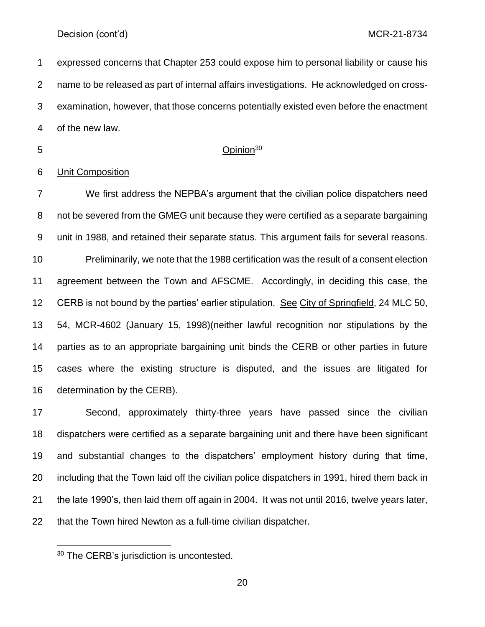expressed concerns that Chapter 253 could expose him to personal liability or cause his name to be released as part of internal affairs investigations. He acknowledged on cross- examination, however, that those concerns potentially existed even before the enactment of the new law.

## 5 Opinion<sup>30</sup>

## Unit Composition

 We first address the NEPBA's argument that the civilian police dispatchers need not be severed from the GMEG unit because they were certified as a separate bargaining unit in 1988, and retained their separate status. This argument fails for several reasons. Preliminarily, we note that the 1988 certification was the result of a consent election agreement between the Town and AFSCME. Accordingly, in deciding this case, the CERB is not bound by the parties' earlier stipulation. See City of Springfield, 24 MLC 50, 54, MCR-4602 (January 15, 1998)(neither lawful recognition nor stipulations by the parties as to an appropriate bargaining unit binds the CERB or other parties in future cases where the existing structure is disputed, and the issues are litigated for determination by the CERB).

 Second, approximately thirty-three years have passed since the civilian dispatchers were certified as a separate bargaining unit and there have been significant and substantial changes to the dispatchers' employment history during that time, including that the Town laid off the civilian police dispatchers in 1991, hired them back in the late 1990's, then laid them off again in 2004. It was not until 2016, twelve years later, that the Town hired Newton as a full-time civilian dispatcher.

<sup>&</sup>lt;sup>30</sup> The CERB's jurisdiction is uncontested.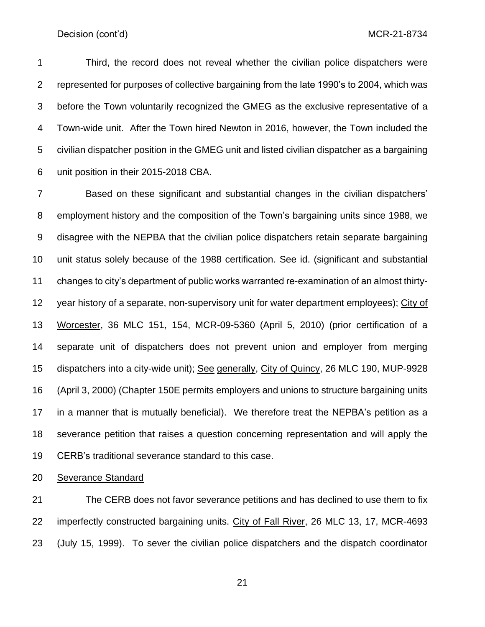Third, the record does not reveal whether the civilian police dispatchers were represented for purposes of collective bargaining from the late 1990's to 2004, which was before the Town voluntarily recognized the GMEG as the exclusive representative of a Town-wide unit. After the Town hired Newton in 2016, however, the Town included the civilian dispatcher position in the GMEG unit and listed civilian dispatcher as a bargaining unit position in their 2015-2018 CBA.

 Based on these significant and substantial changes in the civilian dispatchers' employment history and the composition of the Town's bargaining units since 1988, we disagree with the NEPBA that the civilian police dispatchers retain separate bargaining unit status solely because of the 1988 certification. See id. (significant and substantial changes to city's department of public works warranted re-examination of an almost thirty- year history of a separate, non-supervisory unit for water department employees); City of Worcester, 36 MLC 151, 154, MCR-09-5360 (April 5, 2010) (prior certification of a separate unit of dispatchers does not prevent union and employer from merging dispatchers into a city-wide unit); See generally, City of Quincy, 26 MLC 190, MUP-9928 (April 3, 2000) (Chapter 150E permits employers and unions to structure bargaining units in a manner that is mutually beneficial). We therefore treat the NEPBA's petition as a severance petition that raises a question concerning representation and will apply the CERB's traditional severance standard to this case.

Severance Standard

 The CERB does not favor severance petitions and has declined to use them to fix imperfectly constructed bargaining units. City of Fall River, 26 MLC 13, 17, MCR-4693 (July 15, 1999). To sever the civilian police dispatchers and the dispatch coordinator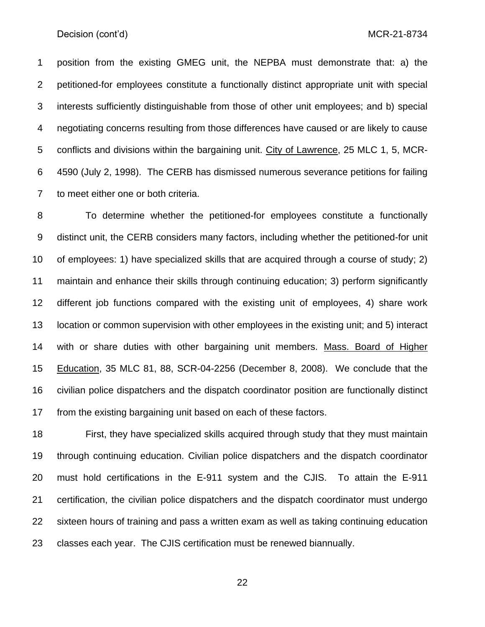position from the existing GMEG unit, the NEPBA must demonstrate that: a) the petitioned-for employees constitute a functionally distinct appropriate unit with special interests sufficiently distinguishable from those of other unit employees; and b) special negotiating concerns resulting from those differences have caused or are likely to cause conflicts and divisions within the bargaining unit. City of Lawrence, 25 MLC 1, 5, MCR- 4590 (July 2, 1998). The CERB has dismissed numerous severance petitions for failing to meet either one or both criteria.

 To determine whether the petitioned-for employees constitute a functionally distinct unit, the CERB considers many factors, including whether the petitioned-for unit of employees: 1) have specialized skills that are acquired through a course of study; 2) maintain and enhance their skills through continuing education; 3) perform significantly different job functions compared with the existing unit of employees, 4) share work location or common supervision with other employees in the existing unit; and 5) interact with or share duties with other bargaining unit members. Mass. Board of Higher Education, 35 MLC 81, 88, SCR-04-2256 (December 8, 2008). We conclude that the civilian police dispatchers and the dispatch coordinator position are functionally distinct from the existing bargaining unit based on each of these factors.

 First, they have specialized skills acquired through study that they must maintain through continuing education. Civilian police dispatchers and the dispatch coordinator must hold certifications in the E-911 system and the CJIS. To attain the E-911 certification, the civilian police dispatchers and the dispatch coordinator must undergo sixteen hours of training and pass a written exam as well as taking continuing education classes each year. The CJIS certification must be renewed biannually.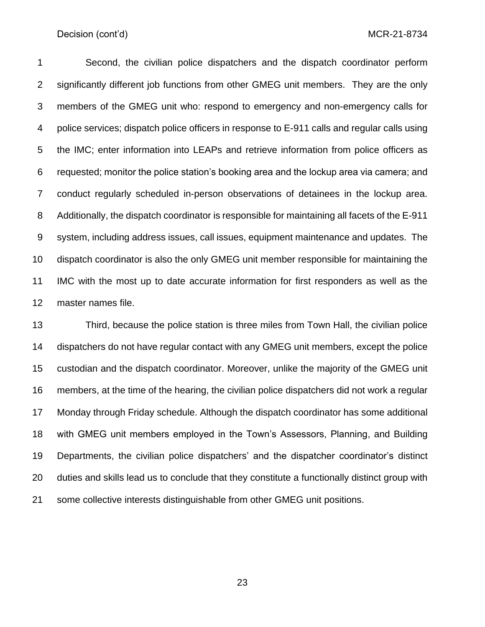Second, the civilian police dispatchers and the dispatch coordinator perform 2 significantly different job functions from other GMEG unit members. They are the only members of the GMEG unit who: respond to emergency and non-emergency calls for 4 police services; dispatch police officers in response to E-911 calls and regular calls using the IMC; enter information into LEAPs and retrieve information from police officers as requested; monitor the police station's booking area and the lockup area via camera; and conduct regularly scheduled in-person observations of detainees in the lockup area. Additionally, the dispatch coordinator is responsible for maintaining all facets of the E-911 system, including address issues, call issues, equipment maintenance and updates. The dispatch coordinator is also the only GMEG unit member responsible for maintaining the IMC with the most up to date accurate information for first responders as well as the master names file.

 Third, because the police station is three miles from Town Hall, the civilian police dispatchers do not have regular contact with any GMEG unit members, except the police custodian and the dispatch coordinator. Moreover, unlike the majority of the GMEG unit members, at the time of the hearing, the civilian police dispatchers did not work a regular Monday through Friday schedule. Although the dispatch coordinator has some additional with GMEG unit members employed in the Town's Assessors, Planning, and Building Departments, the civilian police dispatchers' and the dispatcher coordinator's distinct duties and skills lead us to conclude that they constitute a functionally distinct group with some collective interests distinguishable from other GMEG unit positions.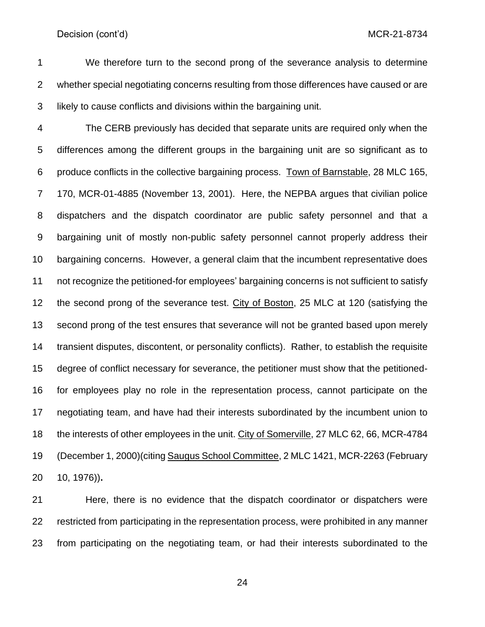We therefore turn to the second prong of the severance analysis to determine whether special negotiating concerns resulting from those differences have caused or are likely to cause conflicts and divisions within the bargaining unit.

 The CERB previously has decided that separate units are required only when the differences among the different groups in the bargaining unit are so significant as to produce conflicts in the collective bargaining process. Town of Barnstable, 28 MLC 165, 170, MCR-01-4885 (November 13, 2001). Here, the NEPBA argues that civilian police dispatchers and the dispatch coordinator are public safety personnel and that a bargaining unit of mostly non-public safety personnel cannot properly address their bargaining concerns. However, a general claim that the incumbent representative does not recognize the petitioned-for employees' bargaining concerns is not sufficient to satisfy the second prong of the severance test. City of Boston, 25 MLC at 120 (satisfying the second prong of the test ensures that severance will not be granted based upon merely transient disputes, discontent, or personality conflicts). Rather, to establish the requisite degree of conflict necessary for severance, the petitioner must show that the petitioned- for employees play no role in the representation process, cannot participate on the negotiating team, and have had their interests subordinated by the incumbent union to the interests of other employees in the unit. City of Somerville, 27 MLC 62, 66, MCR-4784 (December 1, 2000)(citing Saugus School Committee, 2 MLC 1421, MCR-2263 (February 10, 1976))**.** 

 Here, there is no evidence that the dispatch coordinator or dispatchers were restricted from participating in the representation process, were prohibited in any manner from participating on the negotiating team, or had their interests subordinated to the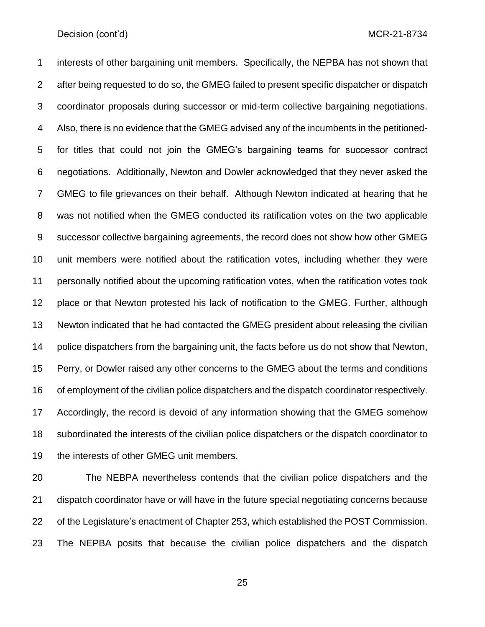interests of other bargaining unit members. Specifically, the NEPBA has not shown that after being requested to do so, the GMEG failed to present specific dispatcher or dispatch coordinator proposals during successor or mid-term collective bargaining negotiations. Also, there is no evidence that the GMEG advised any of the incumbents in the petitioned- for titles that could not join the GMEG's bargaining teams for successor contract negotiations. Additionally, Newton and Dowler acknowledged that they never asked the GMEG to file grievances on their behalf. Although Newton indicated at hearing that he was not notified when the GMEG conducted its ratification votes on the two applicable successor collective bargaining agreements, the record does not show how other GMEG unit members were notified about the ratification votes, including whether they were personally notified about the upcoming ratification votes, when the ratification votes took place or that Newton protested his lack of notification to the GMEG. Further, although Newton indicated that he had contacted the GMEG president about releasing the civilian police dispatchers from the bargaining unit, the facts before us do not show that Newton, Perry, or Dowler raised any other concerns to the GMEG about the terms and conditions of employment of the civilian police dispatchers and the dispatch coordinator respectively. Accordingly, the record is devoid of any information showing that the GMEG somehow subordinated the interests of the civilian police dispatchers or the dispatch coordinator to the interests of other GMEG unit members.

 The NEBPA nevertheless contends that the civilian police dispatchers and the dispatch coordinator have or will have in the future special negotiating concerns because of the Legislature's enactment of Chapter 253, which established the POST Commission. The NEPBA posits that because the civilian police dispatchers and the dispatch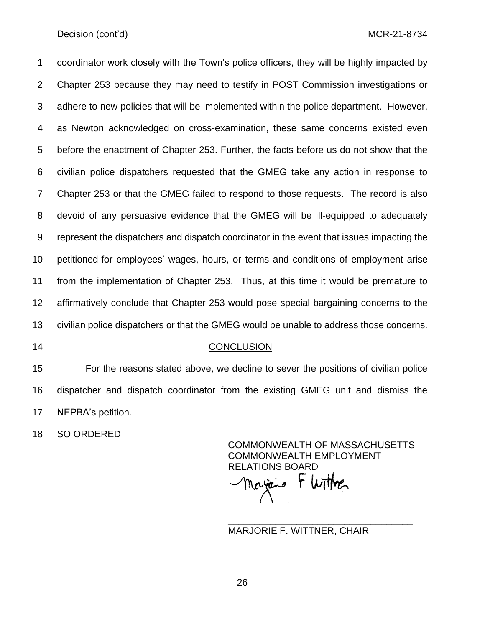coordinator work closely with the Town's police officers, they will be highly impacted by Chapter 253 because they may need to testify in POST Commission investigations or adhere to new policies that will be implemented within the police department. However, as Newton acknowledged on cross-examination, these same concerns existed even before the enactment of Chapter 253. Further, the facts before us do not show that the civilian police dispatchers requested that the GMEG take any action in response to Chapter 253 or that the GMEG failed to respond to those requests. The record is also devoid of any persuasive evidence that the GMEG will be ill-equipped to adequately represent the dispatchers and dispatch coordinator in the event that issues impacting the petitioned-for employees' wages, hours, or terms and conditions of employment arise from the implementation of Chapter 253. Thus, at this time it would be premature to affirmatively conclude that Chapter 253 would pose special bargaining concerns to the civilian police dispatchers or that the GMEG would be unable to address those concerns.

#### CONCLUSION

 For the reasons stated above, we decline to sever the positions of civilian police dispatcher and dispatch coordinator from the existing GMEG unit and dismiss the NEPBA's petition.

SO ORDERED

COMMONWEALTH OF MASSACHUSETTS COMMONWEALTH EMPLOYMENT RELATIONS BOARD ricio

\_\_\_\_\_\_\_\_\_\_\_\_\_\_\_\_\_\_\_\_\_\_\_\_\_\_\_\_\_\_\_\_\_\_\_

MARJORIE F. WITTNER, CHAIR